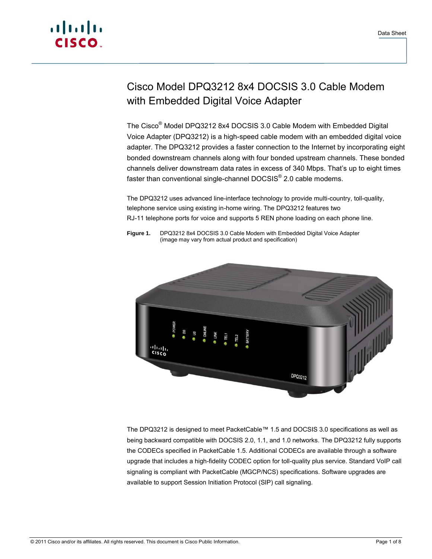

# Cisco Model DPQ3212 8x4 DOCSIS 3.0 Cable Modem with Embedded Digital Voice Adapter

The Cisco® Model DPQ3212 8x4 DOCSIS 3.0 Cable Modem with Embedded Digital Voice Adapter (DPQ3212) is a high-speed cable modem with an embedded digital voice adapter. The DPQ3212 provides a faster connection to the Internet by incorporating eight bonded downstream channels along with four bonded upstream channels. These bonded channels deliver downstream data rates in excess of 340 Mbps. That's up to eight times faster than conventional single-channel DOCSIS® 2.0 cable modems.

The DPQ3212 uses advanced line-interface technology to provide multi-country, toll-quality, telephone service using existing in-home wiring. The DPQ3212 features two RJ-11 telephone ports for voice and supports 5 REN phone loading on each phone line.

**Figure 1.** DPQ3212 8x4 DOCSIS 3.0 Cable Modem with Embedded Digital Voice Adapter (image may vary from actual product and specification)



The DPQ3212 is designed to meet PacketCable™ 1.5 and DOCSIS 3.0 specifications as well as being backward compatible with DOCSIS 2.0, 1.1, and 1.0 networks. The DPQ3212 fully supports the CODECs specified in PacketCable 1.5. Additional CODECs are available through a software upgrade that includes a high-fidelity CODEC option for toll-quality plus service. Standard VoIP call signaling is compliant with PacketCable (MGCP/NCS) specifications. Software upgrades are available to support Session Initiation Protocol (SIP) call signaling.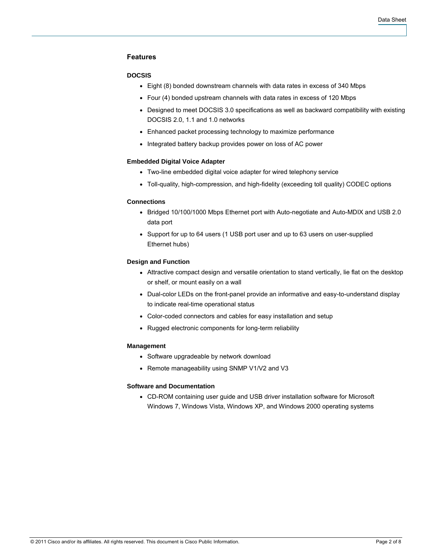### **Features**

#### **DOCSIS**

- Eight (8) bonded downstream channels with data rates in excess of 340 Mbps
- Four (4) bonded upstream channels with data rates in excess of 120 Mbps
- Designed to meet DOCSIS 3.0 specifications as well as backward compatibility with existing DOCSIS 2.0, 1.1 and 1.0 networks
- Enhanced packet processing technology to maximize performance
- Integrated battery backup provides power on loss of AC power

#### **Embedded Digital Voice Adapter**

- Two-line embedded digital voice adapter for wired telephony service
- Toll-quality, high-compression, and high-fidelity (exceeding toll quality) CODEC options

#### **Connections**

- Bridged 10/100/1000 Mbps Ethernet port with Auto-negotiate and Auto-MDIX and USB 2.0 data port
- Support for up to 64 users (1 USB port user and up to 63 users on user-supplied Ethernet hubs)

#### **Design and Function**

- Attractive compact design and versatile orientation to stand vertically, lie flat on the desktop or shelf, or mount easily on a wall
- Dual-color LEDs on the front-panel provide an informative and easy-to-understand display to indicate real-time operational status
- Color-coded connectors and cables for easy installation and setup
- Rugged electronic components for long-term reliability

#### **Management**

- Software upgradeable by network download
- Remote manageability using SNMP V1/V2 and V3

#### **Software and Documentation**

• CD-ROM containing user guide and USB driver installation software for Microsoft Windows 7, Windows Vista, Windows XP, and Windows 2000 operating systems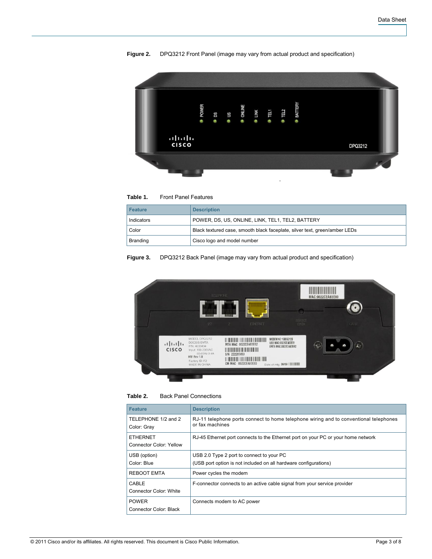

**Figure 2.** DPQ3212 Front Panel (image may vary from actual product and specification)



| <b>Feature</b>  | <b>Description</b>                                                         |
|-----------------|----------------------------------------------------------------------------|
| Indicators      | POWER, DS, US, ONLINE, LINK, TEL1, TEL2, BATTERY                           |
| Color           | Black textured case, smooth black faceplate, silver text, green/amber LEDs |
| <b>Branding</b> | Cisco logo and model number                                                |





| Table 2.                                      | <b>Back Panel Connections</b>                                                                                 |
|-----------------------------------------------|---------------------------------------------------------------------------------------------------------------|
| <b>Feature</b>                                | <b>Description</b>                                                                                            |
| TELEPHONE 1/2 and 2<br>Color: Gray            | RJ-11 telephone ports connect to home telephone wiring and to conventional telephones<br>or fax machines      |
| <b>ETHERNET</b><br>Connector Color: Yellow    | RJ-45 Ethernet port connects to the Ethernet port on your PC or your home network                             |
| USB (option)<br>Color: Blue                   | USB 2.0 Type 2 port to connect to your PC<br>(USB port option is not included on all hardware configurations) |
| <b>REBOOT EMTA</b>                            | Power cycles the modem                                                                                        |
| CARLE<br>Connector Color: White               | F-connector connects to an active cable signal from your service provider                                     |
| <b>POWER</b><br><b>Connector Color: Black</b> | Connects modem to AC power                                                                                    |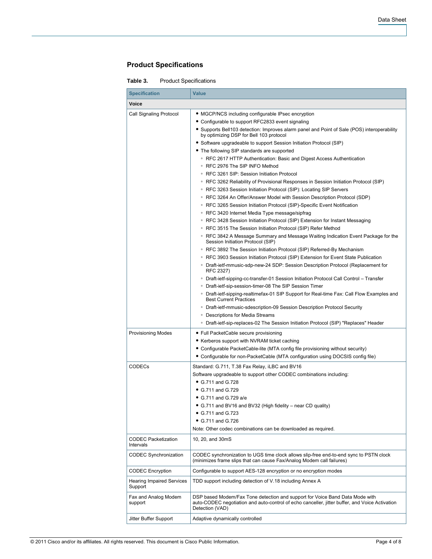# **Product Specifications**

#### **Table 3.** Product Specifications

| <b>Specification</b>                                 | <b>Value</b>                                                                                                                                                                                                                                                                                                                                                                                                                                                                                                                                                                                                                                                                                                                                                                                                                                                                                                                                                                                                                                                                                                                                                                                                                                                                                                                                                                                                                                                                                                                                                                                                                                                                                                                                                                                                                                                                                                                                                                                   |
|------------------------------------------------------|------------------------------------------------------------------------------------------------------------------------------------------------------------------------------------------------------------------------------------------------------------------------------------------------------------------------------------------------------------------------------------------------------------------------------------------------------------------------------------------------------------------------------------------------------------------------------------------------------------------------------------------------------------------------------------------------------------------------------------------------------------------------------------------------------------------------------------------------------------------------------------------------------------------------------------------------------------------------------------------------------------------------------------------------------------------------------------------------------------------------------------------------------------------------------------------------------------------------------------------------------------------------------------------------------------------------------------------------------------------------------------------------------------------------------------------------------------------------------------------------------------------------------------------------------------------------------------------------------------------------------------------------------------------------------------------------------------------------------------------------------------------------------------------------------------------------------------------------------------------------------------------------------------------------------------------------------------------------------------------------|
| Voice                                                |                                                                                                                                                                                                                                                                                                                                                                                                                                                                                                                                                                                                                                                                                                                                                                                                                                                                                                                                                                                                                                                                                                                                                                                                                                                                                                                                                                                                                                                                                                                                                                                                                                                                                                                                                                                                                                                                                                                                                                                                |
| Call Signaling Protocol<br><b>Provisioning Modes</b> | • MGCP/NCS including configurable IPsec encryption<br>• Configurable to support RFC2833 event signaling<br>• Supports Bell103 detection: Improves alarm panel and Point of Sale (POS) interoperability<br>by optimizing DSP for Bell 103 protocol<br>• Software upgradeable to support Session Initiation Protocol (SIP)<br>• The following SIP standards are supported<br>○ RFC 2617 HTTP Authentication: Basic and Digest Access Authentication<br>○ RFC 2976 The SIP INFO Method<br>○ RFC 3261 SIP: Session Initiation Protocol<br>○ RFC 3262 Reliability of Provisional Responses in Session Initiation Protocol (SIP)<br>○ RFC 3263 Session Initiation Protocol (SIP): Locating SIP Servers<br>○ RFC 3264 An Offer/Answer Model with Session Description Protocol (SDP)<br>○ RFC 3265 Session Initiation Protocol (SIP)-Specific Event Notification<br>○ RFC 3420 Internet Media Type message/sipfrag<br>○ RFC 3428 Session Initiation Protocol (SIP) Extension for Instant Messaging<br>○ RFC 3515 The Session Initiation Protocol (SIP) Refer Method<br>○ RFC 3842 A Message Summary and Message Waiting Indication Event Package for the<br>Session Initiation Protocol (SIP)<br>○ RFC 3892 The Session Initiation Protocol (SIP) Referred-By Mechanism<br>○ RFC 3903 Session Initiation Protocol (SIP) Extension for Event State Publication<br>○ Draft-ietf-mmusic-sdp-new-24 SDP: Session Description Protocol (Replacement for<br>RFC 2327)<br>○ Draft-ietf-sipping-cc-transfer-01 Session Initiation Protocol Call Control – Transfer<br>○ Draft-ietf-sip-session-timer-08 The SIP Session Timer<br>∘ Draft-ietf-sipping-realtimefax-01 SIP Support for Real-time Fax: Call Flow Examples and<br><b>Best Current Practices</b><br>○ Draft-ietf-mmusic-sdescription-09 Session Description Protocol Security<br>• Descriptions for Media Streams<br>○ Draft-ietf-sip-replaces-02 The Session Initiation Protocol (SIP) "Replaces" Header<br>• Full PacketCable secure provisioning |
|                                                      | • Kerberos support with NVRAM ticket caching<br>• Configurable PacketCable-lite (MTA config file provisioning without security)                                                                                                                                                                                                                                                                                                                                                                                                                                                                                                                                                                                                                                                                                                                                                                                                                                                                                                                                                                                                                                                                                                                                                                                                                                                                                                                                                                                                                                                                                                                                                                                                                                                                                                                                                                                                                                                                |
|                                                      | • Configurable for non-PacketCable (MTA configuration using DOCSIS config file)                                                                                                                                                                                                                                                                                                                                                                                                                                                                                                                                                                                                                                                                                                                                                                                                                                                                                                                                                                                                                                                                                                                                                                                                                                                                                                                                                                                                                                                                                                                                                                                                                                                                                                                                                                                                                                                                                                                |
| <b>CODECs</b>                                        | Standard: G.711, T.38 Fax Relay, iLBC and BV16<br>Software upgradeable to support other CODEC combinations including:<br>• G.711 and G.728<br>• G.711 and G.729<br>$\bullet$ G.711 and G.729 a/e<br>G.711 and BV16 and BV32 (High fidelity - near CD quality)<br>• G.711 and G.723<br>• G.711 and G.726<br>Note: Other codec combinations can be downloaded as required.                                                                                                                                                                                                                                                                                                                                                                                                                                                                                                                                                                                                                                                                                                                                                                                                                                                                                                                                                                                                                                                                                                                                                                                                                                                                                                                                                                                                                                                                                                                                                                                                                       |
| <b>CODEC Packetization</b><br>Intervals              | 10, 20, and 30mS                                                                                                                                                                                                                                                                                                                                                                                                                                                                                                                                                                                                                                                                                                                                                                                                                                                                                                                                                                                                                                                                                                                                                                                                                                                                                                                                                                                                                                                                                                                                                                                                                                                                                                                                                                                                                                                                                                                                                                               |
| CODEC Synchronization                                | CODEC synchronization to UGS time clock allows slip-free end-to-end sync to PSTN clock<br>(minimizes frame slips that can cause Fax/Analog Modem call failures)                                                                                                                                                                                                                                                                                                                                                                                                                                                                                                                                                                                                                                                                                                                                                                                                                                                                                                                                                                                                                                                                                                                                                                                                                                                                                                                                                                                                                                                                                                                                                                                                                                                                                                                                                                                                                                |
| <b>CODEC</b> Encryption                              | Configurable to support AES-128 encryption or no encryption modes                                                                                                                                                                                                                                                                                                                                                                                                                                                                                                                                                                                                                                                                                                                                                                                                                                                                                                                                                                                                                                                                                                                                                                                                                                                                                                                                                                                                                                                                                                                                                                                                                                                                                                                                                                                                                                                                                                                              |
| <b>Hearing Impaired Services</b><br>Support          | TDD support including detection of V.18 including Annex A                                                                                                                                                                                                                                                                                                                                                                                                                                                                                                                                                                                                                                                                                                                                                                                                                                                                                                                                                                                                                                                                                                                                                                                                                                                                                                                                                                                                                                                                                                                                                                                                                                                                                                                                                                                                                                                                                                                                      |
| Fax and Analog Modem<br>support                      | DSP based Modem/Fax Tone detection and support for Voice Band Data Mode with<br>auto-CODEC negotiation and auto-control of echo canceller, jitter buffer, and Voice Activation<br>Detection (VAD)                                                                                                                                                                                                                                                                                                                                                                                                                                                                                                                                                                                                                                                                                                                                                                                                                                                                                                                                                                                                                                                                                                                                                                                                                                                                                                                                                                                                                                                                                                                                                                                                                                                                                                                                                                                              |
| Jitter Buffer Support                                | Adaptive dynamically controlled                                                                                                                                                                                                                                                                                                                                                                                                                                                                                                                                                                                                                                                                                                                                                                                                                                                                                                                                                                                                                                                                                                                                                                                                                                                                                                                                                                                                                                                                                                                                                                                                                                                                                                                                                                                                                                                                                                                                                                |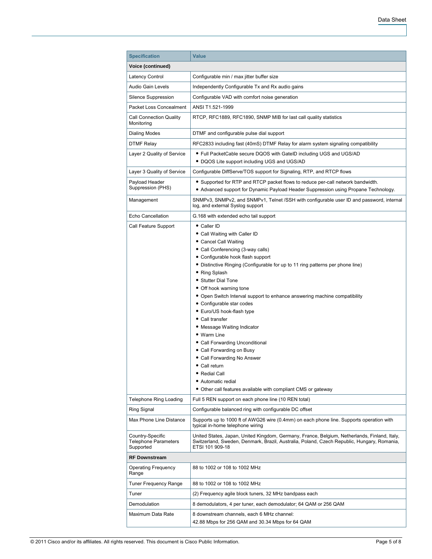| <b>Specification</b>                                  | <b>Value</b>                                                                                                                                                                                                                                                                                                                                                                                                                                                                                                                                                                                                                                                                                                                       |  |
|-------------------------------------------------------|------------------------------------------------------------------------------------------------------------------------------------------------------------------------------------------------------------------------------------------------------------------------------------------------------------------------------------------------------------------------------------------------------------------------------------------------------------------------------------------------------------------------------------------------------------------------------------------------------------------------------------------------------------------------------------------------------------------------------------|--|
| Voice (continued)                                     |                                                                                                                                                                                                                                                                                                                                                                                                                                                                                                                                                                                                                                                                                                                                    |  |
| Latency Control                                       | Configurable min / max jitter buffer size                                                                                                                                                                                                                                                                                                                                                                                                                                                                                                                                                                                                                                                                                          |  |
| Audio Gain Levels                                     | Independently Configurable Tx and Rx audio gains                                                                                                                                                                                                                                                                                                                                                                                                                                                                                                                                                                                                                                                                                   |  |
| Silence Suppression                                   | Configurable VAD with comfort noise generation                                                                                                                                                                                                                                                                                                                                                                                                                                                                                                                                                                                                                                                                                     |  |
| Packet Loss Concealment                               | ANSI T1.521-1999                                                                                                                                                                                                                                                                                                                                                                                                                                                                                                                                                                                                                                                                                                                   |  |
| <b>Call Connection Quality</b><br>Monitoring          | RTCP, RFC1889, RFC1890, SNMP MIB for last call quality statistics                                                                                                                                                                                                                                                                                                                                                                                                                                                                                                                                                                                                                                                                  |  |
| <b>Dialing Modes</b>                                  | DTMF and configurable pulse dial support                                                                                                                                                                                                                                                                                                                                                                                                                                                                                                                                                                                                                                                                                           |  |
| <b>DTMF Relay</b>                                     | RFC2833 including fast (40mS) DTMF Relay for alarm system signaling compatibility                                                                                                                                                                                                                                                                                                                                                                                                                                                                                                                                                                                                                                                  |  |
| Layer 2 Quality of Service                            | • Full PacketCable secure DQOS with GatelD including UGS and UGS/AD<br>• DQOS Lite support including UGS and UGS/AD                                                                                                                                                                                                                                                                                                                                                                                                                                                                                                                                                                                                                |  |
| Layer 3 Quality of Service                            | Configurable DiffServe/TOS support for Signaling, RTP, and RTCP flows                                                                                                                                                                                                                                                                                                                                                                                                                                                                                                                                                                                                                                                              |  |
| Payload Header<br>Suppression (PHS)                   | • Supported for RTP and RTCP packet flows to reduce per-call network bandwidth.<br>• Advanced support for Dynamic Payload Header Suppression using Propane Technology.                                                                                                                                                                                                                                                                                                                                                                                                                                                                                                                                                             |  |
| Management                                            | SNMPv3, SNMPv2, and SNMPv1, Telnet /SSH with configurable user ID and password, internal<br>log, and external Syslog support                                                                                                                                                                                                                                                                                                                                                                                                                                                                                                                                                                                                       |  |
| Echo Cancellation                                     | G.168 with extended echo tail support                                                                                                                                                                                                                                                                                                                                                                                                                                                                                                                                                                                                                                                                                              |  |
| Call Feature Support                                  | • Caller ID<br>• Call Waiting with Caller ID<br>• Cancel Call Waiting<br>• Call Conferencing (3-way calls)<br>• Configurable hook flash support<br>• Distinctive Ringing (Configurable for up to 11 ring patterns per phone line)<br>• Ring Splash<br>• Stutter Dial Tone<br>• Off hook warning tone<br>• Open Switch Interval support to enhance answering machine compatibility<br>• Configurable star codes<br>• Euro/US hook-flash type<br>• Call transfer<br>• Message Waiting Indicator<br>• Warm Line<br>• Call Forwarding Unconditional<br>• Call Forwarding on Busy<br>• Call Forwarding No Answer<br>Call return<br>• Redial Call<br>• Automatic redial<br>• Other call features available with compliant CMS or gateway |  |
| <b>Telephone Ring Loading</b>                         | Full 5 REN support on each phone line (10 REN total)                                                                                                                                                                                                                                                                                                                                                                                                                                                                                                                                                                                                                                                                               |  |
| Ring Signal                                           | Configurable balanced ring with configurable DC offset                                                                                                                                                                                                                                                                                                                                                                                                                                                                                                                                                                                                                                                                             |  |
| Max Phone Line Distance                               | Supports up to 1000 ft of AWG26 wire (0.4mm) on each phone line. Supports operation with<br>typical in-home telephone wiring                                                                                                                                                                                                                                                                                                                                                                                                                                                                                                                                                                                                       |  |
| Country-Specific<br>Telephone Parameters<br>Supported | United States, Japan, United Kingdom, Germany, France, Belgium, Netherlands, Finland, Italy,<br>Switzerland, Sweden, Denmark, Brazil, Australia, Poland, Czech Republic, Hungary, Romania,<br>ETSI 101 909-18                                                                                                                                                                                                                                                                                                                                                                                                                                                                                                                      |  |
| <b>RF Downstream</b>                                  |                                                                                                                                                                                                                                                                                                                                                                                                                                                                                                                                                                                                                                                                                                                                    |  |
| <b>Operating Frequency</b><br>Range                   | 88 to 1002 or 108 to 1002 MHz                                                                                                                                                                                                                                                                                                                                                                                                                                                                                                                                                                                                                                                                                                      |  |
| <b>Tuner Frequency Range</b>                          | 88 to 1002 or 108 to 1002 MHz                                                                                                                                                                                                                                                                                                                                                                                                                                                                                                                                                                                                                                                                                                      |  |
| Tuner                                                 | (2) Frequency agile block tuners, 32 MHz bandpass each                                                                                                                                                                                                                                                                                                                                                                                                                                                                                                                                                                                                                                                                             |  |
| Demodulation                                          | 8 demodulators, 4 per tuner, each demodulator; 64 QAM or 256 QAM                                                                                                                                                                                                                                                                                                                                                                                                                                                                                                                                                                                                                                                                   |  |
| Maximum Data Rate                                     | 8 downstream channels, each 6 MHz channel:<br>42.88 Mbps for 256 QAM and 30.34 Mbps for 64 QAM                                                                                                                                                                                                                                                                                                                                                                                                                                                                                                                                                                                                                                     |  |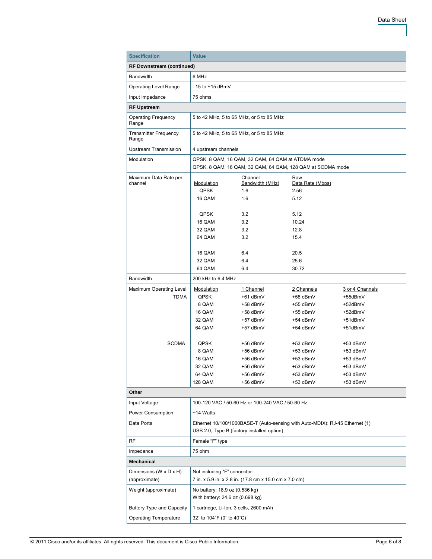| <b>RF Downstream (continued)</b><br>6 MHz<br><b>Bandwidth</b><br><b>Operating Level Range</b><br>$-15$ to $+15$ dBmV<br>Input Impedance<br>75 ohms<br><b>RF Upstream</b><br><b>Operating Frequency</b><br>5 to 42 MHz, 5 to 65 MHz, or 5 to 85 MHz<br>Range<br><b>Transmitter Frequency</b><br>5 to 42 MHz, 5 to 65 MHz, or 5 to 85 MHz<br>Range<br><b>Upstream Transmission</b><br>4 upstream channels<br>QPSK, 8 QAM, 16 QAM, 32 QAM, 64 QAM at ATDMA mode<br>Modulation<br>QPSK, 8 QAM, 16 QAM, 32 QAM, 64 QAM, 128 QAM at SCDMA mode<br>Channel<br>Maximum Data Rate per<br>Raw<br>channel<br>Bandwidth (MHz)<br><b>Modulation</b><br>Data Rate (Mbps)<br>QPSK<br>1.6<br>2.56<br>5.12<br>16 QAM<br>1.6<br>QPSK<br>3.2<br>5.12<br>3.2<br>16 QAM<br>10.24<br>32 QAM<br>3.2<br>12.8<br>64 QAM<br>3.2<br>15.4<br>16 QAM<br>6.4<br>20.5<br>32 QAM<br>6.4<br>25.6<br>64 QAM<br>6.4<br>30.72<br><b>Bandwidth</b><br>200 kHz to 6.4 MHz<br>Maximum Operating Level<br>1 Channel<br>3 or 4 Channels<br><b>Modulation</b><br>2 Channels<br>QPSK<br><b>TDMA</b><br>+61 dBmV<br>+58 dBmV<br>+55dBmV<br>8 QAM<br>+58 dBmV<br>+55 dBmV<br>+52dBmV<br>16 QAM<br>+58 dBmV<br>+55 dBmV<br>+52dBmV<br>32 QAM<br>+57 dBmV<br>+54 dBmV<br>+51dBmV<br>64 QAM<br>+57 dBmV<br>+54 dBmV<br>+51dBmV<br>QPSK<br><b>SCDMA</b><br>+56 dBmV<br>+53 dBmV<br>+53 dBmV<br>8 QAM<br>+56 dBmV<br>+53 dBmV<br>+53 dBmV<br>16 QAM<br>+56 dBmV<br>+53 dBmV<br>+53 dBmV<br>32 QAM<br>+56 dBmV<br>+53 dBmV<br>+53 dBmV<br>64 QAM<br>+56 dBmV<br>+53 dBmV<br>+53 dBmV<br><b>128 QAM</b><br>+56 dBmV<br>+53 dBmV<br>+53 dBmV<br>Other<br>100-120 VAC / 50-60 Hz or 100-240 VAC / 50-60 Hz<br>Input Voltage<br>$~14$ Watts<br>Power Consumption<br>Ethernet 10/100/1000BASE-T (Auto-sensing with Auto-MDIX): RJ-45 Ethernet (1)<br>Data Ports<br>USB 2.0, Type B (factory installed option)<br><b>RF</b><br>Female "F" type<br>Impedance<br>75 ohm<br><b>Mechanical</b><br>Dimensions (W x D x H)<br>Not including "F" connector:<br>7 in. x 5.9 in. x 2.8 in. (17.8 cm x 15.0 cm x 7.0 cm)<br>(approximate)<br>Weight (approximate)<br>No battery: 18.9 oz (0.536 kg)<br>With battery: 24.6 oz (0.698 kg)<br><b>Battery Type and Capacity</b><br>1 cartridge, Li-Ion, 3 cells, 2600 mAh<br><b>Operating Temperature</b><br>32° to 104°F (0° to 40°C) | <b>Specification</b> | <b>Value</b> |  |  |  |
|-----------------------------------------------------------------------------------------------------------------------------------------------------------------------------------------------------------------------------------------------------------------------------------------------------------------------------------------------------------------------------------------------------------------------------------------------------------------------------------------------------------------------------------------------------------------------------------------------------------------------------------------------------------------------------------------------------------------------------------------------------------------------------------------------------------------------------------------------------------------------------------------------------------------------------------------------------------------------------------------------------------------------------------------------------------------------------------------------------------------------------------------------------------------------------------------------------------------------------------------------------------------------------------------------------------------------------------------------------------------------------------------------------------------------------------------------------------------------------------------------------------------------------------------------------------------------------------------------------------------------------------------------------------------------------------------------------------------------------------------------------------------------------------------------------------------------------------------------------------------------------------------------------------------------------------------------------------------------------------------------------------------------------------------------------------------------------------------------------------------------------------------------------------------------------------------------------------------------------------------------------------------------------------------------------------------|----------------------|--------------|--|--|--|
|                                                                                                                                                                                                                                                                                                                                                                                                                                                                                                                                                                                                                                                                                                                                                                                                                                                                                                                                                                                                                                                                                                                                                                                                                                                                                                                                                                                                                                                                                                                                                                                                                                                                                                                                                                                                                                                                                                                                                                                                                                                                                                                                                                                                                                                                                                                 |                      |              |  |  |  |
|                                                                                                                                                                                                                                                                                                                                                                                                                                                                                                                                                                                                                                                                                                                                                                                                                                                                                                                                                                                                                                                                                                                                                                                                                                                                                                                                                                                                                                                                                                                                                                                                                                                                                                                                                                                                                                                                                                                                                                                                                                                                                                                                                                                                                                                                                                                 |                      |              |  |  |  |
|                                                                                                                                                                                                                                                                                                                                                                                                                                                                                                                                                                                                                                                                                                                                                                                                                                                                                                                                                                                                                                                                                                                                                                                                                                                                                                                                                                                                                                                                                                                                                                                                                                                                                                                                                                                                                                                                                                                                                                                                                                                                                                                                                                                                                                                                                                                 |                      |              |  |  |  |
|                                                                                                                                                                                                                                                                                                                                                                                                                                                                                                                                                                                                                                                                                                                                                                                                                                                                                                                                                                                                                                                                                                                                                                                                                                                                                                                                                                                                                                                                                                                                                                                                                                                                                                                                                                                                                                                                                                                                                                                                                                                                                                                                                                                                                                                                                                                 |                      |              |  |  |  |
|                                                                                                                                                                                                                                                                                                                                                                                                                                                                                                                                                                                                                                                                                                                                                                                                                                                                                                                                                                                                                                                                                                                                                                                                                                                                                                                                                                                                                                                                                                                                                                                                                                                                                                                                                                                                                                                                                                                                                                                                                                                                                                                                                                                                                                                                                                                 |                      |              |  |  |  |
|                                                                                                                                                                                                                                                                                                                                                                                                                                                                                                                                                                                                                                                                                                                                                                                                                                                                                                                                                                                                                                                                                                                                                                                                                                                                                                                                                                                                                                                                                                                                                                                                                                                                                                                                                                                                                                                                                                                                                                                                                                                                                                                                                                                                                                                                                                                 |                      |              |  |  |  |
|                                                                                                                                                                                                                                                                                                                                                                                                                                                                                                                                                                                                                                                                                                                                                                                                                                                                                                                                                                                                                                                                                                                                                                                                                                                                                                                                                                                                                                                                                                                                                                                                                                                                                                                                                                                                                                                                                                                                                                                                                                                                                                                                                                                                                                                                                                                 |                      |              |  |  |  |
|                                                                                                                                                                                                                                                                                                                                                                                                                                                                                                                                                                                                                                                                                                                                                                                                                                                                                                                                                                                                                                                                                                                                                                                                                                                                                                                                                                                                                                                                                                                                                                                                                                                                                                                                                                                                                                                                                                                                                                                                                                                                                                                                                                                                                                                                                                                 |                      |              |  |  |  |
|                                                                                                                                                                                                                                                                                                                                                                                                                                                                                                                                                                                                                                                                                                                                                                                                                                                                                                                                                                                                                                                                                                                                                                                                                                                                                                                                                                                                                                                                                                                                                                                                                                                                                                                                                                                                                                                                                                                                                                                                                                                                                                                                                                                                                                                                                                                 |                      |              |  |  |  |
|                                                                                                                                                                                                                                                                                                                                                                                                                                                                                                                                                                                                                                                                                                                                                                                                                                                                                                                                                                                                                                                                                                                                                                                                                                                                                                                                                                                                                                                                                                                                                                                                                                                                                                                                                                                                                                                                                                                                                                                                                                                                                                                                                                                                                                                                                                                 |                      |              |  |  |  |
|                                                                                                                                                                                                                                                                                                                                                                                                                                                                                                                                                                                                                                                                                                                                                                                                                                                                                                                                                                                                                                                                                                                                                                                                                                                                                                                                                                                                                                                                                                                                                                                                                                                                                                                                                                                                                                                                                                                                                                                                                                                                                                                                                                                                                                                                                                                 |                      |              |  |  |  |
|                                                                                                                                                                                                                                                                                                                                                                                                                                                                                                                                                                                                                                                                                                                                                                                                                                                                                                                                                                                                                                                                                                                                                                                                                                                                                                                                                                                                                                                                                                                                                                                                                                                                                                                                                                                                                                                                                                                                                                                                                                                                                                                                                                                                                                                                                                                 |                      |              |  |  |  |
|                                                                                                                                                                                                                                                                                                                                                                                                                                                                                                                                                                                                                                                                                                                                                                                                                                                                                                                                                                                                                                                                                                                                                                                                                                                                                                                                                                                                                                                                                                                                                                                                                                                                                                                                                                                                                                                                                                                                                                                                                                                                                                                                                                                                                                                                                                                 |                      |              |  |  |  |
|                                                                                                                                                                                                                                                                                                                                                                                                                                                                                                                                                                                                                                                                                                                                                                                                                                                                                                                                                                                                                                                                                                                                                                                                                                                                                                                                                                                                                                                                                                                                                                                                                                                                                                                                                                                                                                                                                                                                                                                                                                                                                                                                                                                                                                                                                                                 |                      |              |  |  |  |
|                                                                                                                                                                                                                                                                                                                                                                                                                                                                                                                                                                                                                                                                                                                                                                                                                                                                                                                                                                                                                                                                                                                                                                                                                                                                                                                                                                                                                                                                                                                                                                                                                                                                                                                                                                                                                                                                                                                                                                                                                                                                                                                                                                                                                                                                                                                 |                      |              |  |  |  |
|                                                                                                                                                                                                                                                                                                                                                                                                                                                                                                                                                                                                                                                                                                                                                                                                                                                                                                                                                                                                                                                                                                                                                                                                                                                                                                                                                                                                                                                                                                                                                                                                                                                                                                                                                                                                                                                                                                                                                                                                                                                                                                                                                                                                                                                                                                                 |                      |              |  |  |  |
|                                                                                                                                                                                                                                                                                                                                                                                                                                                                                                                                                                                                                                                                                                                                                                                                                                                                                                                                                                                                                                                                                                                                                                                                                                                                                                                                                                                                                                                                                                                                                                                                                                                                                                                                                                                                                                                                                                                                                                                                                                                                                                                                                                                                                                                                                                                 |                      |              |  |  |  |
|                                                                                                                                                                                                                                                                                                                                                                                                                                                                                                                                                                                                                                                                                                                                                                                                                                                                                                                                                                                                                                                                                                                                                                                                                                                                                                                                                                                                                                                                                                                                                                                                                                                                                                                                                                                                                                                                                                                                                                                                                                                                                                                                                                                                                                                                                                                 |                      |              |  |  |  |
|                                                                                                                                                                                                                                                                                                                                                                                                                                                                                                                                                                                                                                                                                                                                                                                                                                                                                                                                                                                                                                                                                                                                                                                                                                                                                                                                                                                                                                                                                                                                                                                                                                                                                                                                                                                                                                                                                                                                                                                                                                                                                                                                                                                                                                                                                                                 |                      |              |  |  |  |
|                                                                                                                                                                                                                                                                                                                                                                                                                                                                                                                                                                                                                                                                                                                                                                                                                                                                                                                                                                                                                                                                                                                                                                                                                                                                                                                                                                                                                                                                                                                                                                                                                                                                                                                                                                                                                                                                                                                                                                                                                                                                                                                                                                                                                                                                                                                 |                      |              |  |  |  |
|                                                                                                                                                                                                                                                                                                                                                                                                                                                                                                                                                                                                                                                                                                                                                                                                                                                                                                                                                                                                                                                                                                                                                                                                                                                                                                                                                                                                                                                                                                                                                                                                                                                                                                                                                                                                                                                                                                                                                                                                                                                                                                                                                                                                                                                                                                                 |                      |              |  |  |  |
|                                                                                                                                                                                                                                                                                                                                                                                                                                                                                                                                                                                                                                                                                                                                                                                                                                                                                                                                                                                                                                                                                                                                                                                                                                                                                                                                                                                                                                                                                                                                                                                                                                                                                                                                                                                                                                                                                                                                                                                                                                                                                                                                                                                                                                                                                                                 |                      |              |  |  |  |
|                                                                                                                                                                                                                                                                                                                                                                                                                                                                                                                                                                                                                                                                                                                                                                                                                                                                                                                                                                                                                                                                                                                                                                                                                                                                                                                                                                                                                                                                                                                                                                                                                                                                                                                                                                                                                                                                                                                                                                                                                                                                                                                                                                                                                                                                                                                 |                      |              |  |  |  |
|                                                                                                                                                                                                                                                                                                                                                                                                                                                                                                                                                                                                                                                                                                                                                                                                                                                                                                                                                                                                                                                                                                                                                                                                                                                                                                                                                                                                                                                                                                                                                                                                                                                                                                                                                                                                                                                                                                                                                                                                                                                                                                                                                                                                                                                                                                                 |                      |              |  |  |  |
|                                                                                                                                                                                                                                                                                                                                                                                                                                                                                                                                                                                                                                                                                                                                                                                                                                                                                                                                                                                                                                                                                                                                                                                                                                                                                                                                                                                                                                                                                                                                                                                                                                                                                                                                                                                                                                                                                                                                                                                                                                                                                                                                                                                                                                                                                                                 |                      |              |  |  |  |
|                                                                                                                                                                                                                                                                                                                                                                                                                                                                                                                                                                                                                                                                                                                                                                                                                                                                                                                                                                                                                                                                                                                                                                                                                                                                                                                                                                                                                                                                                                                                                                                                                                                                                                                                                                                                                                                                                                                                                                                                                                                                                                                                                                                                                                                                                                                 |                      |              |  |  |  |
|                                                                                                                                                                                                                                                                                                                                                                                                                                                                                                                                                                                                                                                                                                                                                                                                                                                                                                                                                                                                                                                                                                                                                                                                                                                                                                                                                                                                                                                                                                                                                                                                                                                                                                                                                                                                                                                                                                                                                                                                                                                                                                                                                                                                                                                                                                                 |                      |              |  |  |  |
|                                                                                                                                                                                                                                                                                                                                                                                                                                                                                                                                                                                                                                                                                                                                                                                                                                                                                                                                                                                                                                                                                                                                                                                                                                                                                                                                                                                                                                                                                                                                                                                                                                                                                                                                                                                                                                                                                                                                                                                                                                                                                                                                                                                                                                                                                                                 |                      |              |  |  |  |
|                                                                                                                                                                                                                                                                                                                                                                                                                                                                                                                                                                                                                                                                                                                                                                                                                                                                                                                                                                                                                                                                                                                                                                                                                                                                                                                                                                                                                                                                                                                                                                                                                                                                                                                                                                                                                                                                                                                                                                                                                                                                                                                                                                                                                                                                                                                 |                      |              |  |  |  |
|                                                                                                                                                                                                                                                                                                                                                                                                                                                                                                                                                                                                                                                                                                                                                                                                                                                                                                                                                                                                                                                                                                                                                                                                                                                                                                                                                                                                                                                                                                                                                                                                                                                                                                                                                                                                                                                                                                                                                                                                                                                                                                                                                                                                                                                                                                                 |                      |              |  |  |  |
|                                                                                                                                                                                                                                                                                                                                                                                                                                                                                                                                                                                                                                                                                                                                                                                                                                                                                                                                                                                                                                                                                                                                                                                                                                                                                                                                                                                                                                                                                                                                                                                                                                                                                                                                                                                                                                                                                                                                                                                                                                                                                                                                                                                                                                                                                                                 |                      |              |  |  |  |
|                                                                                                                                                                                                                                                                                                                                                                                                                                                                                                                                                                                                                                                                                                                                                                                                                                                                                                                                                                                                                                                                                                                                                                                                                                                                                                                                                                                                                                                                                                                                                                                                                                                                                                                                                                                                                                                                                                                                                                                                                                                                                                                                                                                                                                                                                                                 |                      |              |  |  |  |
|                                                                                                                                                                                                                                                                                                                                                                                                                                                                                                                                                                                                                                                                                                                                                                                                                                                                                                                                                                                                                                                                                                                                                                                                                                                                                                                                                                                                                                                                                                                                                                                                                                                                                                                                                                                                                                                                                                                                                                                                                                                                                                                                                                                                                                                                                                                 |                      |              |  |  |  |
|                                                                                                                                                                                                                                                                                                                                                                                                                                                                                                                                                                                                                                                                                                                                                                                                                                                                                                                                                                                                                                                                                                                                                                                                                                                                                                                                                                                                                                                                                                                                                                                                                                                                                                                                                                                                                                                                                                                                                                                                                                                                                                                                                                                                                                                                                                                 |                      |              |  |  |  |
|                                                                                                                                                                                                                                                                                                                                                                                                                                                                                                                                                                                                                                                                                                                                                                                                                                                                                                                                                                                                                                                                                                                                                                                                                                                                                                                                                                                                                                                                                                                                                                                                                                                                                                                                                                                                                                                                                                                                                                                                                                                                                                                                                                                                                                                                                                                 |                      |              |  |  |  |
|                                                                                                                                                                                                                                                                                                                                                                                                                                                                                                                                                                                                                                                                                                                                                                                                                                                                                                                                                                                                                                                                                                                                                                                                                                                                                                                                                                                                                                                                                                                                                                                                                                                                                                                                                                                                                                                                                                                                                                                                                                                                                                                                                                                                                                                                                                                 |                      |              |  |  |  |
|                                                                                                                                                                                                                                                                                                                                                                                                                                                                                                                                                                                                                                                                                                                                                                                                                                                                                                                                                                                                                                                                                                                                                                                                                                                                                                                                                                                                                                                                                                                                                                                                                                                                                                                                                                                                                                                                                                                                                                                                                                                                                                                                                                                                                                                                                                                 |                      |              |  |  |  |
|                                                                                                                                                                                                                                                                                                                                                                                                                                                                                                                                                                                                                                                                                                                                                                                                                                                                                                                                                                                                                                                                                                                                                                                                                                                                                                                                                                                                                                                                                                                                                                                                                                                                                                                                                                                                                                                                                                                                                                                                                                                                                                                                                                                                                                                                                                                 |                      |              |  |  |  |
|                                                                                                                                                                                                                                                                                                                                                                                                                                                                                                                                                                                                                                                                                                                                                                                                                                                                                                                                                                                                                                                                                                                                                                                                                                                                                                                                                                                                                                                                                                                                                                                                                                                                                                                                                                                                                                                                                                                                                                                                                                                                                                                                                                                                                                                                                                                 |                      |              |  |  |  |
|                                                                                                                                                                                                                                                                                                                                                                                                                                                                                                                                                                                                                                                                                                                                                                                                                                                                                                                                                                                                                                                                                                                                                                                                                                                                                                                                                                                                                                                                                                                                                                                                                                                                                                                                                                                                                                                                                                                                                                                                                                                                                                                                                                                                                                                                                                                 |                      |              |  |  |  |
|                                                                                                                                                                                                                                                                                                                                                                                                                                                                                                                                                                                                                                                                                                                                                                                                                                                                                                                                                                                                                                                                                                                                                                                                                                                                                                                                                                                                                                                                                                                                                                                                                                                                                                                                                                                                                                                                                                                                                                                                                                                                                                                                                                                                                                                                                                                 |                      |              |  |  |  |
|                                                                                                                                                                                                                                                                                                                                                                                                                                                                                                                                                                                                                                                                                                                                                                                                                                                                                                                                                                                                                                                                                                                                                                                                                                                                                                                                                                                                                                                                                                                                                                                                                                                                                                                                                                                                                                                                                                                                                                                                                                                                                                                                                                                                                                                                                                                 |                      |              |  |  |  |
|                                                                                                                                                                                                                                                                                                                                                                                                                                                                                                                                                                                                                                                                                                                                                                                                                                                                                                                                                                                                                                                                                                                                                                                                                                                                                                                                                                                                                                                                                                                                                                                                                                                                                                                                                                                                                                                                                                                                                                                                                                                                                                                                                                                                                                                                                                                 |                      |              |  |  |  |
|                                                                                                                                                                                                                                                                                                                                                                                                                                                                                                                                                                                                                                                                                                                                                                                                                                                                                                                                                                                                                                                                                                                                                                                                                                                                                                                                                                                                                                                                                                                                                                                                                                                                                                                                                                                                                                                                                                                                                                                                                                                                                                                                                                                                                                                                                                                 |                      |              |  |  |  |
|                                                                                                                                                                                                                                                                                                                                                                                                                                                                                                                                                                                                                                                                                                                                                                                                                                                                                                                                                                                                                                                                                                                                                                                                                                                                                                                                                                                                                                                                                                                                                                                                                                                                                                                                                                                                                                                                                                                                                                                                                                                                                                                                                                                                                                                                                                                 |                      |              |  |  |  |
|                                                                                                                                                                                                                                                                                                                                                                                                                                                                                                                                                                                                                                                                                                                                                                                                                                                                                                                                                                                                                                                                                                                                                                                                                                                                                                                                                                                                                                                                                                                                                                                                                                                                                                                                                                                                                                                                                                                                                                                                                                                                                                                                                                                                                                                                                                                 |                      |              |  |  |  |
|                                                                                                                                                                                                                                                                                                                                                                                                                                                                                                                                                                                                                                                                                                                                                                                                                                                                                                                                                                                                                                                                                                                                                                                                                                                                                                                                                                                                                                                                                                                                                                                                                                                                                                                                                                                                                                                                                                                                                                                                                                                                                                                                                                                                                                                                                                                 |                      |              |  |  |  |
|                                                                                                                                                                                                                                                                                                                                                                                                                                                                                                                                                                                                                                                                                                                                                                                                                                                                                                                                                                                                                                                                                                                                                                                                                                                                                                                                                                                                                                                                                                                                                                                                                                                                                                                                                                                                                                                                                                                                                                                                                                                                                                                                                                                                                                                                                                                 |                      |              |  |  |  |
|                                                                                                                                                                                                                                                                                                                                                                                                                                                                                                                                                                                                                                                                                                                                                                                                                                                                                                                                                                                                                                                                                                                                                                                                                                                                                                                                                                                                                                                                                                                                                                                                                                                                                                                                                                                                                                                                                                                                                                                                                                                                                                                                                                                                                                                                                                                 |                      |              |  |  |  |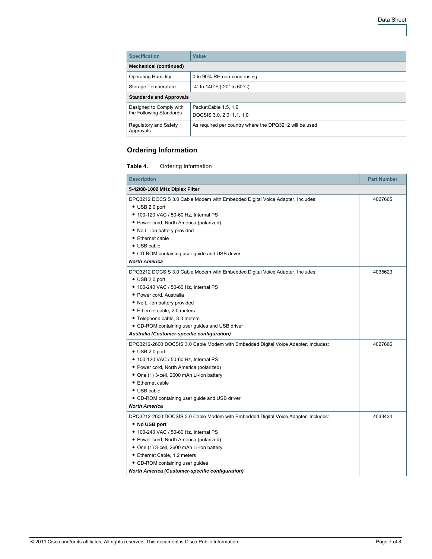| <b>Specification</b>                               | <b>Value</b>                                                         |  |
|----------------------------------------------------|----------------------------------------------------------------------|--|
| Mechanical (continued)                             |                                                                      |  |
| <b>Operating Humidity</b>                          | 0 to 90% RH non-condensing                                           |  |
| Storage Temperature                                | $-4^{\circ}$ to 140 $^{\circ}$ F (-20 $^{\circ}$ to 60 $^{\circ}$ C) |  |
| <b>Standards and Approvals</b>                     |                                                                      |  |
| Designed to Comply with<br>the Following Standards | PacketCable 1.5, 1.0<br>DOCSIS 3.0, 2.0, 1.1, 1.0                    |  |
| Regulatory and Safety<br>Approvals                 | As required per country where the DPQ3212 will be used               |  |

# **Ordering Information**

### **Table 4.** Ordering Information

| <b>Description</b>                                                                 | <b>Part Number</b> |
|------------------------------------------------------------------------------------|--------------------|
| 5-42/88-1002 MHz Diplex Filter                                                     |                    |
| DPQ3212 DOCSIS 3.0 Cable Modem with Embedded Digital Voice Adapter. Includes:      | 4027665            |
| $\bullet$ USB 2.0 port                                                             |                    |
| • 100-120 VAC / 50-60 Hz, Internal PS                                              |                    |
| • Power cord, North America (polarized)                                            |                    |
| . No Li-Ion battery provided                                                       |                    |
| • Ethernet cable                                                                   |                    |
| • USB cable                                                                        |                    |
| • CD-ROM containing user guide and USB driver                                      |                    |
| <b>North America</b>                                                               |                    |
| DPQ3212 DOCSIS 3.0 Cable Modem with Embedded Digital Voice Adapter. Includes:      | 4035623            |
| $\bullet$ USB 2.0 port                                                             |                    |
| • 100-240 VAC / 50-60 Hz, Internal PS                                              |                    |
| • Power cord. Australia                                                            |                    |
| . No Li-Ion battery provided                                                       |                    |
| • Ethernet cable, 2.0 meters                                                       |                    |
| • Telephone cable, 3.0 meters                                                      |                    |
| • CD-ROM containing user guides and USB driver                                     |                    |
| Australia (Customer-specific configuration)                                        |                    |
| DPQ3212-2600 DOCSIS 3.0 Cable Modem with Embedded Digital Voice Adapter. Includes: | 4027666            |
| $\bullet$ USB 2.0 port                                                             |                    |
| • 100-120 VAC / 50-60 Hz, Internal PS                                              |                    |
| • Power cord, North America (polarized)                                            |                    |
| • One (1) 3-cell, 2600 mAh Li-lon battery                                          |                    |
| • Ethernet cable                                                                   |                    |
| • USB cable                                                                        |                    |
| • CD-ROM containing user guide and USB driver                                      |                    |
| <b>North America</b>                                                               |                    |
| DPQ3212-2600 DOCSIS 3.0 Cable Modem with Embedded Digital Voice Adapter. Includes: | 4033434            |
| • No USB port                                                                      |                    |
| • 100-240 VAC / 50-60 Hz, Internal PS                                              |                    |
| • Power cord, North America (polarized)                                            |                    |
| • One (1) 3-cell, 2600 mAh Li-Ion battery                                          |                    |
| • Ethernet Cable, 1.2 meters                                                       |                    |
| • CD-ROM containing user guides                                                    |                    |
| <b>North America (Customer-specific configuration)</b>                             |                    |